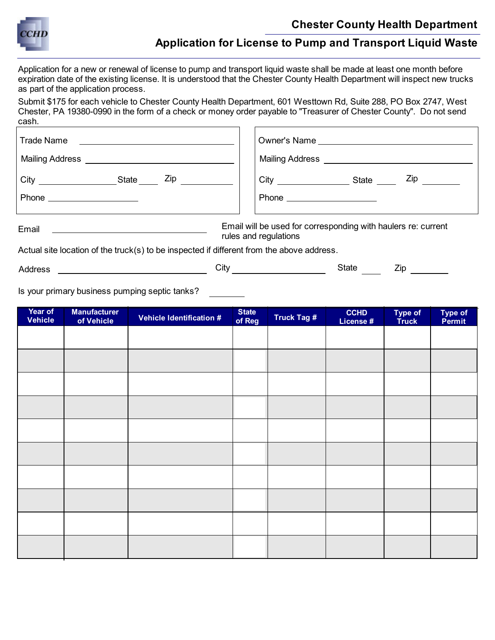

## **Chester County Health Department**

## **Application for License to Pump and Transport Liquid Waste**

Application for a new or renewal of license to pump and transport liquid waste shall be made at least one month before expiration date of the existing license. It is understood that the Chester County Health Department will inspect new trucks as part of the application process.

Submit \$175 for each vehicle to Chester County Health Department, 601 Westtown Rd, Suite 288, PO Box 2747, West Chester, PA 19380-0990 in the form of a check or money order payable to "Treasurer of Chester County". Do not send cash.

| Trade Name<br><u> The Communication of the Communication of the Communication of the Communication of the Communication of the Communication of the Communication of the Communication of the Communication of the Communication of the Commun</u> |                                                                                                               |  |  |  |  |
|----------------------------------------------------------------------------------------------------------------------------------------------------------------------------------------------------------------------------------------------------|---------------------------------------------------------------------------------------------------------------|--|--|--|--|
| Mailing Address ________________________                                                                                                                                                                                                           | Mailing Address ______________                                                                                |  |  |  |  |
| $\mathsf{Zip}$<br>State                                                                                                                                                                                                                            | Zip in the set of the set of the set of the set of the set of the set of the set of the set of the set of the |  |  |  |  |
| Phone _____________________                                                                                                                                                                                                                        | Phone _____________________                                                                                   |  |  |  |  |
| Email will be used for corresponding with haulers re: current<br>Email<br>rules and regulations                                                                                                                                                    |                                                                                                               |  |  |  |  |
| Actual site location of the truck(s) to be inspected if different from the above address                                                                                                                                                           |                                                                                                               |  |  |  |  |

Actual site location of the truck(s) to be inspected if different from the above address.

Address City State Zip

Is your primary business pumping septic tanks?

| Year of<br><b>Vehicle</b> | <b>Manufacturer</b><br>of Vehicle | <b>Vehicle Identification #</b> | <b>State</b><br>of Reg | Truck Tag # | <b>CCHD</b><br>License # | Type of<br>Truck | Type of<br>Permit |
|---------------------------|-----------------------------------|---------------------------------|------------------------|-------------|--------------------------|------------------|-------------------|
|                           |                                   |                                 |                        |             |                          |                  |                   |
|                           |                                   |                                 |                        |             |                          |                  |                   |
|                           |                                   |                                 |                        |             |                          |                  |                   |
|                           |                                   |                                 |                        |             |                          |                  |                   |
|                           |                                   |                                 |                        |             |                          |                  |                   |
|                           |                                   |                                 |                        |             |                          |                  |                   |
|                           |                                   |                                 |                        |             |                          |                  |                   |
|                           |                                   |                                 |                        |             |                          |                  |                   |
|                           |                                   |                                 |                        |             |                          |                  |                   |
|                           |                                   |                                 |                        |             |                          |                  |                   |
|                           |                                   |                                 |                        |             |                          |                  |                   |